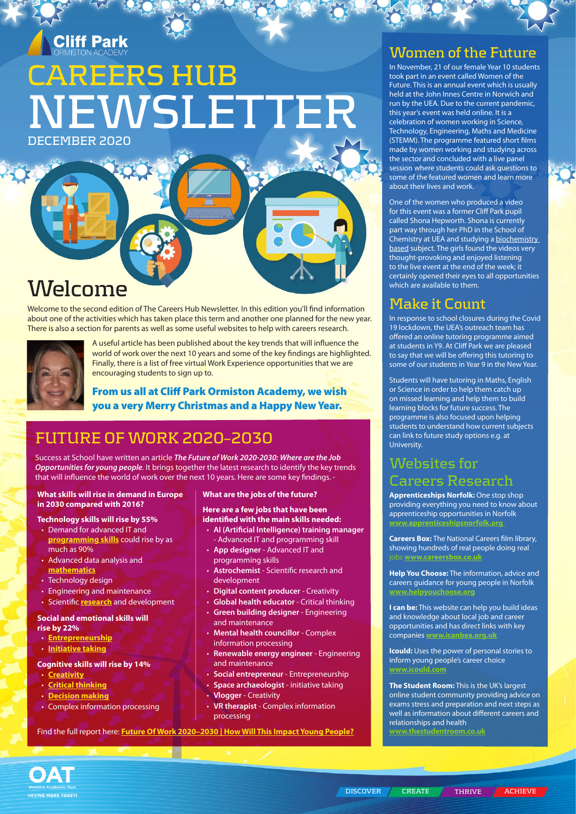# **Cliff Park**

# **CAREERS HUB DECEMBER 2020 NEWSLETTER**

**Welcome**

Welcome to the second edition of The Careers Hub Newsletter. In this edition you'll find information about one of the activities which has taken place this term and another one planned for the new year. There is also a section for parents as well as some useful websites to help with careers research.



A useful article has been published about the key trends that will influence the world of work over the next 10 years and some of the key findings are highlighted. Finally, there is a list of free virtual Work Experience opportunities that we are encouraging students to sign up to.

From us all at Cliff Park Ormiston Academy, we wish you a very Merry Christmas and a Happy New Year.

# **FUTURE OF WORK 2020–2030**

Success at School have written an article *The Future of Work 2020-2030: Where are the Job Opportunities for young people*. It brings together the latest research to identify the key trends that will influence the world of work over the next 10 years. Here are some key findings. -

#### **What skills will rise in demand in Europe in 2030 compared with 2016?**

#### **Technology skills will rise by 55%**

- Demand for advanced IT and **[programming skills](https://successatschool.org/advicedetails/559/Why-Should-I-Learn-to-Code%3F)** could rise by as much as 90%
- Advanced data analysis and **[mathematics](https://successatschool.org/advicedetails/186/Why-Study-Maths%3F)**
- Technology design
- Engineering and maintenance
- Scientific **[research](https://successatschool.org/advicedetails/994/research-skills-at-work)** and development

#### **Social and emotional skills will rise by 22%**

- **[Entrepreneurship](https://successatschool.org/careerzonesummary/41/Entrepreneurship)**
- **[Initiative taking](https://successatschool.org/advicedetails/703/How-to-use-your-initiative-at-work)**

#### **Cognitive skills will rise by 14%**

- **[Creativity](https://successatschool.org/advicedetails/938/ways-to-improve-your-creativity-skills)**
- **[Critical thinking](https://successatschool.org/advicedetails/964/critical-thinking-skills)**
- **[Decision making](https://successatschool.org/advicedetails/939/6-tips-to-improve-your-decision-making-skills)** • Complex information processing

#### **What are the jobs of the future?**

#### **Here are a few jobs that have been identified with the main skills needed:**

- **AI (Artificial Intelligence) training manager** - Advanced IT and programming skill
- **App designer**  Advanced IT and programming skills
- **Astrochemist**  Scientific research and development
- **Digital content producer** Creativity
- **Global health educator** Critical thinking
- **Green building designer** Engineering and maintenance
- **Mental health councillor** Complex information processing
- **Renewable energy engineer** Engineering and maintenance
- **Social entrepreneur** Entrepreneurship
- **Space archaeologist** initiative taking
- **Vlogger** Creativity
- **VR therapist** Complex information processing

Find the full report here: **[Future Of Work 2020–2030 | How Will This Impact Young People?](https://successatschool.org/advicedetails/1277/future-of-work-job-opportunities-for-young-people)**

### **Women of the Future**

In November, 21 of our female Year 10 students took part in an event called Women of the Future. This is an annual event which is usually held at the John Innes Centre in Norwich and run by the UEA. Due to the current pandemic, this year's event was held online. It is a celebration of women working in Science, Technology, Engineering, Maths and Medicine (STEMM). The programme featured short films made by women working and studying across the sector and concluded with a live panel session where students could ask questions to some of the featured women and learn more about their lives and work.

One of the women who produced a video for this event was a former Cliff Park pupil called Shona Hepworth. Shona is currently part way through her PhD in the School of .<br>Chemistry at UEA and studying a biochemistry based subject. The girls found the videos very thought-provoking and enjoyed listening to the live event at the end of the week; it certainly opened their eyes to all opportunities which are available to them.

### **Make it Count**

In response to school closures during the Covid 19 lockdown, the UEA's outreach team has offered an online tutoring programme aimed at students in Y9. At Cliff Park we are pleased to say that we will be offering this tutoring to some of our students in Year 9 in the New Year.

Students will have tutoring in Maths, English or Science in order to help them catch up on missed learning and help them to build learning blocks for future success. The programme is also focused upon helping students to understand how current subjects can link to future study options e.g. at University.

### **Websites for Careers Research**

**Apprenticeships Norfolk:** One stop shop providing everything you need to know about apprenticeship opportunities in Norfolk **[www.apprenticeshipsnorfolk.org](http://www.apprenticeshipsnorfolk.org/)** 

**Careers Box:** The National Careers film library, showing hundreds of real people doing real jobs **[www.careersbox.co.uk](http://www.careersbox.co.uk)**

**Help You Choose:** The information, advice and careers guidance for young people in Norfolk **[www.helpyouchoose.o](http://www.helpyouchoose.org)rg**

**I can be:** This website can help you build ideas and knowledge about local job and career opportunities and has direct links with key companies **[www.icanbea.org.uk](http://www.icanbea.org.uk)**

**Icould:** Uses the power of personal stories to inform young people's career choice **[www.icould.com](http://www.icould.com)**

**The Student Room:** This is the UK's largest online student community providing advice on exams stress and preparation and next steps as well as information about different careers and relationships and health **[www.thestudentroom.co.uk](http://www.thestudentroom.co.uk)**